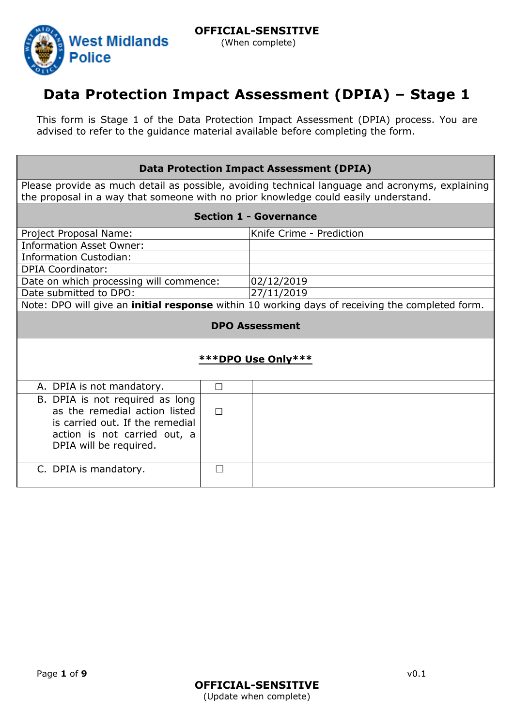

# **Data Protection Impact Assessment (DPIA) – Stage 1**

This form is Stage 1 of the Data Protection Impact Assessment (DPIA) process. You are advised to refer to the guidance material available before completing the form.

#### **Data Protection Impact Assessment (DPIA)**

Please provide as much detail as possible, avoiding technical language and acronyms, explaining the proposal in a way that someone with no prior knowledge could easily understand.

| <b>Section 1 - Governance</b>                                                                                                                                 |        |                                                                                                        |  |
|---------------------------------------------------------------------------------------------------------------------------------------------------------------|--------|--------------------------------------------------------------------------------------------------------|--|
| Project Proposal Name:                                                                                                                                        |        | Knife Crime - Prediction                                                                               |  |
| <b>Information Asset Owner:</b>                                                                                                                               |        |                                                                                                        |  |
| Information Custodian:                                                                                                                                        |        |                                                                                                        |  |
| <b>DPIA Coordinator:</b>                                                                                                                                      |        |                                                                                                        |  |
| Date on which processing will commence:                                                                                                                       |        | 02/12/2019                                                                                             |  |
| Date submitted to DPO:                                                                                                                                        |        | 27/11/2019                                                                                             |  |
|                                                                                                                                                               |        | Note: DPO will give an <i>initial response</i> within 10 working days of receiving the completed form. |  |
| <b>DPO Assessment</b>                                                                                                                                         |        |                                                                                                        |  |
| <b>***DPO Use Only***</b>                                                                                                                                     |        |                                                                                                        |  |
| A. DPIA is not mandatory.                                                                                                                                     | $\Box$ |                                                                                                        |  |
| B. DPIA is not required as long<br>as the remedial action listed<br>is carried out. If the remedial<br>action is not carried out, a<br>DPIA will be required. | $\Box$ |                                                                                                        |  |
| C. DPIA is mandatory.                                                                                                                                         |        |                                                                                                        |  |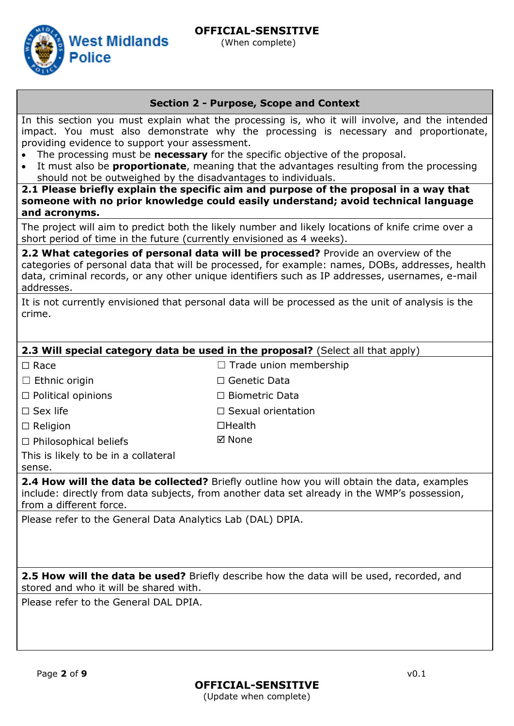

(When complete)

#### **Section 2 - Purpose, Scope and Context**

In this section you must explain what the processing is, who it will involve, and the intended impact. You must also demonstrate why the processing is necessary and proportionate, providing evidence to support your assessment.

- The processing must be **necessary** for the specific objective of the proposal.
- It must also be **proportionate**, meaning that the advantages resulting from the processing should not be outweighed by the disadvantages to individuals.

**2.1 Please briefly explain the specific aim and purpose of the proposal in a way that someone with no prior knowledge could easily understand; avoid technical language and acronyms.**

The project will aim to predict both the likely number and likely locations of knife crime over a short period of time in the future (currently envisioned as 4 weeks).

**2.2 What categories of personal data will be processed?** Provide an overview of the categories of personal data that will be processed, for example: names, DOBs, addresses, health data, criminal records, or any other unique identifiers such as IP addresses, usernames, e-mail addresses.

It is not currently envisioned that personal data will be processed as the unit of analysis is the crime.

| 2.3 Will special category data be used in the proposal? (Select all that apply) |                               |  |  |
|---------------------------------------------------------------------------------|-------------------------------|--|--|
| $\Box$ Race                                                                     | $\Box$ Trade union membership |  |  |
| $\Box$ Ethnic origin                                                            | $\Box$ Genetic Data           |  |  |
| $\Box$ Political opinions                                                       | $\Box$ Biometric Data         |  |  |
| $\Box$ Sex life                                                                 | $\Box$ Sexual orientation     |  |  |
| $\Box$ Religion                                                                 | $\Box$ Health                 |  |  |
| $\Box$ Philosophical beliefs                                                    | ⊠ None                        |  |  |
| This is likely to be in a collateral                                            |                               |  |  |
| sense.                                                                          |                               |  |  |

**2.4 How will the data be collected?** Briefly outline how you will obtain the data, examples include: directly from data subjects, from another data set already in the WMP's possession, from a different force.

Please refer to the General Data Analytics Lab (DAL) DPIA.

**2.5 How will the data be used?** Briefly describe how the data will be used, recorded, and stored and who it will be shared with.

Please refer to the General DAL DPIA.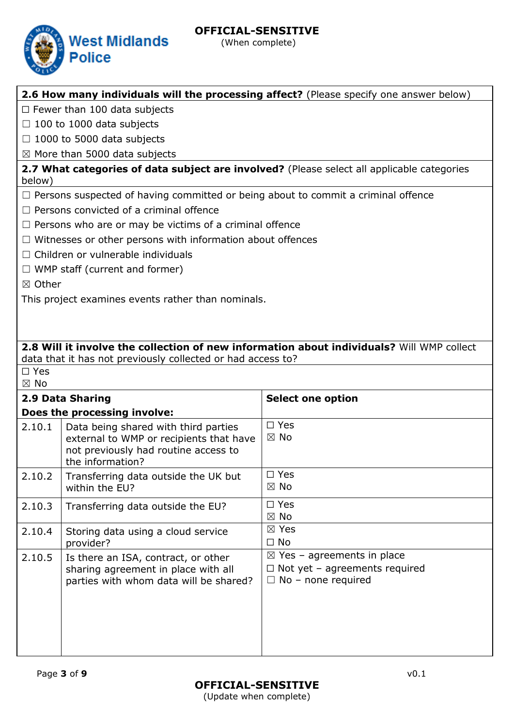

(When complete)

| 2.6 How many individuals will the processing affect? (Please specify one answer below) |                                                                                                                                             |                                                                                                          |  |  |
|----------------------------------------------------------------------------------------|---------------------------------------------------------------------------------------------------------------------------------------------|----------------------------------------------------------------------------------------------------------|--|--|
|                                                                                        | $\Box$ Fewer than 100 data subjects                                                                                                         |                                                                                                          |  |  |
|                                                                                        | $\Box$ 100 to 1000 data subjects                                                                                                            |                                                                                                          |  |  |
|                                                                                        | $\Box$ 1000 to 5000 data subjects                                                                                                           |                                                                                                          |  |  |
|                                                                                        | $\boxtimes$ More than 5000 data subjects                                                                                                    |                                                                                                          |  |  |
| below)                                                                                 |                                                                                                                                             | 2.7 What categories of data subject are involved? (Please select all applicable categories               |  |  |
|                                                                                        | $\Box$ Persons suspected of having committed or being about to commit a criminal offence                                                    |                                                                                                          |  |  |
|                                                                                        | $\Box$ Persons convicted of a criminal offence                                                                                              |                                                                                                          |  |  |
|                                                                                        | $\Box$ Persons who are or may be victims of a criminal offence                                                                              |                                                                                                          |  |  |
|                                                                                        | $\Box$ Witnesses or other persons with information about offences                                                                           |                                                                                                          |  |  |
|                                                                                        | $\Box$ Children or vulnerable individuals                                                                                                   |                                                                                                          |  |  |
|                                                                                        | $\Box$ WMP staff (current and former)                                                                                                       |                                                                                                          |  |  |
| $\boxtimes$ Other                                                                      |                                                                                                                                             |                                                                                                          |  |  |
|                                                                                        | This project examines events rather than nominals.                                                                                          |                                                                                                          |  |  |
|                                                                                        |                                                                                                                                             |                                                                                                          |  |  |
|                                                                                        |                                                                                                                                             |                                                                                                          |  |  |
|                                                                                        |                                                                                                                                             | 2.8 Will it involve the collection of new information about individuals? Will WMP collect                |  |  |
|                                                                                        | data that it has not previously collected or had access to?                                                                                 |                                                                                                          |  |  |
| $\square$ Yes<br>$\boxtimes$ No                                                        |                                                                                                                                             |                                                                                                          |  |  |
|                                                                                        | 2.9 Data Sharing                                                                                                                            | <b>Select one option</b>                                                                                 |  |  |
|                                                                                        | Does the processing involve:                                                                                                                |                                                                                                          |  |  |
| 2.10.1                                                                                 | Data being shared with third parties<br>external to WMP or recipients that have<br>not previously had routine access to<br>the information? | $\square$ Yes<br>$\boxtimes$ No                                                                          |  |  |
| 2.10.2                                                                                 | Transferring data outside the UK but<br>within the EU?                                                                                      | $\square$ Yes<br>$\boxtimes$ No                                                                          |  |  |
| 2.10.3                                                                                 | Transferring data outside the EU?                                                                                                           | $\Box$ Yes<br>$\boxtimes$ No                                                                             |  |  |
| 2.10.4                                                                                 | Storing data using a cloud service<br>provider?                                                                                             | ⊠ Yes<br>$\Box$ No                                                                                       |  |  |
| 2.10.5                                                                                 | Is there an ISA, contract, or other<br>sharing agreement in place with all<br>parties with whom data will be shared?                        | $\boxtimes$ Yes – agreements in place<br>$\Box$ Not yet - agreements required<br>No - none required<br>Ш |  |  |
|                                                                                        |                                                                                                                                             |                                                                                                          |  |  |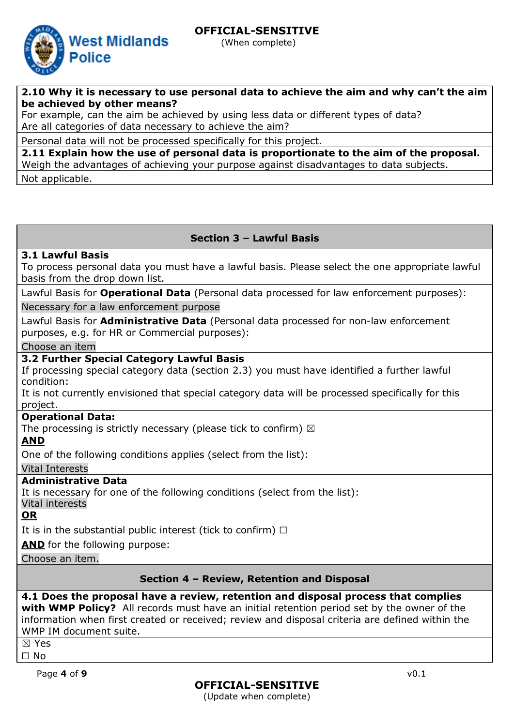

(When complete)

#### **2.10 Why it is necessary to use personal data to achieve the aim and why can't the aim be achieved by other means?**

For example, can the aim be achieved by using less data or different types of data? Are all categories of data necessary to achieve the aim?

Personal data will not be processed specifically for this project.

**2.11 Explain how the use of personal data is proportionate to the aim of the proposal.** Weigh the advantages of achieving your purpose against disadvantages to data subjects. Not applicable.

# **Section 3 – Lawful Basis**

#### **3.1 Lawful Basis**

To process personal data you must have a lawful basis. Please select the one appropriate lawful basis from the drop down list.

Lawful Basis for **Operational Data** (Personal data processed for law enforcement purposes): Necessary for a law enforcement purpose

Lawful Basis for **Administrative Data** (Personal data processed for non-law enforcement purposes, e.g. for HR or Commercial purposes):

Choose an item

#### **3.2 Further Special Category Lawful Basis**

If processing special category data (section 2.3) you must have identified a further lawful condition:

It is not currently envisioned that special category data will be processed specifically for this project.

#### **Operational Data:**

The processing is strictly necessary (please tick to confirm)  $\boxtimes$ 

**AND**

One of the following conditions applies (select from the list):

#### Vital Interests

#### **Administrative Data**

It is necessary for one of the following conditions (select from the list):

Vital interests

#### **OR**

It is in the substantial public interest (tick to confirm)  $\Box$ 

**AND** for the following purpose:

Choose an item.

#### **Section 4 – Review, Retention and Disposal**

**4.1 Does the proposal have a review, retention and disposal process that complies with WMP Policy?** All records must have an initial retention period set by the owner of the information when first created or received; review and disposal criteria are defined within the WMP IM document suite.

☒ Yes

☐ No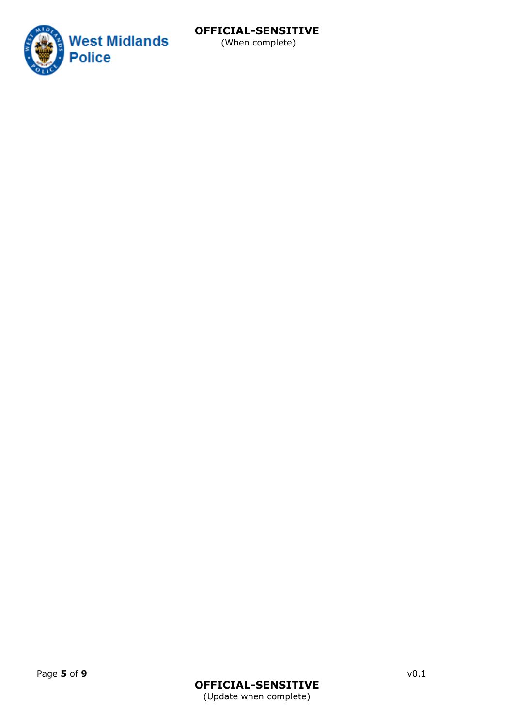

(When complete)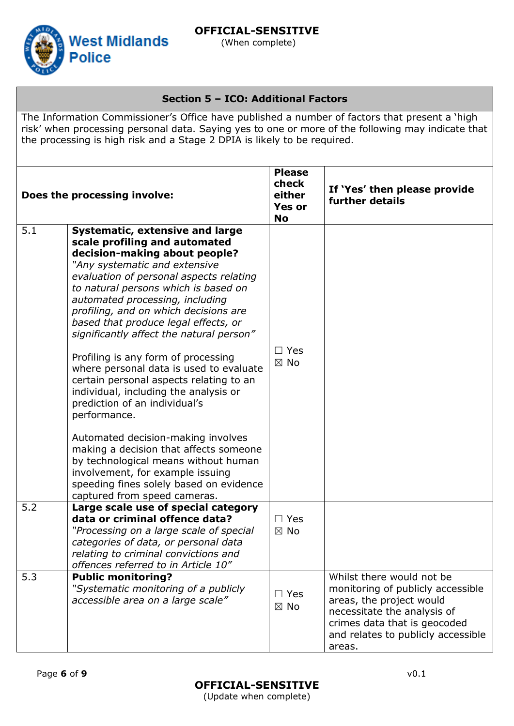

(When complete)

#### **Section 5 – ICO: Additional Factors**

The Information Commissioner's Office have published a number of factors that present a 'high risk' when processing personal data. Saying yes to one or more of the following may indicate that the processing is high risk and a Stage 2 DPIA is likely to be required.

|     | Does the processing involve:                                                                                                                                                                                                                                                                                                                                                                                                                                                                                                                                                                                                                                                                                                                | <b>Please</b><br>check<br>either<br><b>Yes or</b><br><b>No</b> | If 'Yes' then please provide<br>further details                                                                                                                                                           |
|-----|---------------------------------------------------------------------------------------------------------------------------------------------------------------------------------------------------------------------------------------------------------------------------------------------------------------------------------------------------------------------------------------------------------------------------------------------------------------------------------------------------------------------------------------------------------------------------------------------------------------------------------------------------------------------------------------------------------------------------------------------|----------------------------------------------------------------|-----------------------------------------------------------------------------------------------------------------------------------------------------------------------------------------------------------|
| 5.1 | <b>Systematic, extensive and large</b><br>scale profiling and automated<br>decision-making about people?<br>"Any systematic and extensive<br>evaluation of personal aspects relating<br>to natural persons which is based on<br>automated processing, including<br>profiling, and on which decisions are<br>based that produce legal effects, or<br>significantly affect the natural person"<br>Profiling is any form of processing<br>where personal data is used to evaluate<br>certain personal aspects relating to an<br>individual, including the analysis or<br>prediction of an individual's<br>performance.<br>Automated decision-making involves<br>making a decision that affects someone<br>by technological means without human | $\Box$ Yes<br>$\boxtimes$ No                                   |                                                                                                                                                                                                           |
|     | involvement, for example issuing<br>speeding fines solely based on evidence<br>captured from speed cameras.                                                                                                                                                                                                                                                                                                                                                                                                                                                                                                                                                                                                                                 |                                                                |                                                                                                                                                                                                           |
| 5.2 | Large scale use of special category<br>data or criminal offence data?<br>"Processing on a large scale of special<br>categories of data, or personal data<br>relating to criminal convictions and<br>offences referred to in Article 10"                                                                                                                                                                                                                                                                                                                                                                                                                                                                                                     | $\Box$ Yes<br>$\boxtimes$ No                                   |                                                                                                                                                                                                           |
| 5.3 | <b>Public monitoring?</b><br>"Systematic monitoring of a publicly<br>accessible area on a large scale"                                                                                                                                                                                                                                                                                                                                                                                                                                                                                                                                                                                                                                      | $\Box$ Yes<br>$\boxtimes$ No                                   | Whilst there would not be<br>monitoring of publicly accessible<br>areas, the project would<br>necessitate the analysis of<br>crimes data that is geocoded<br>and relates to publicly accessible<br>areas. |

(Update when complete)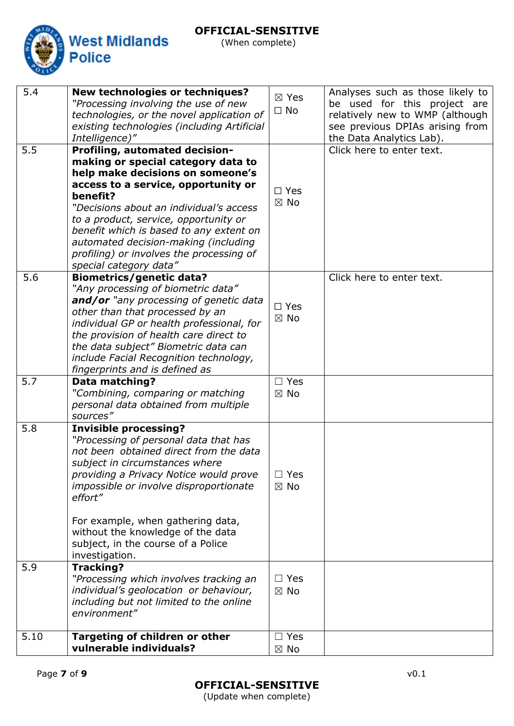

(When complete)

| 5.4<br>5.5 | <b>New technologies or techniques?</b><br>"Processing involving the use of new<br>technologies, or the novel application of<br>existing technologies (including Artificial<br>Intelligence)"<br>Profiling, automated decision-<br>making or special category data to<br>help make decisions on someone's<br>access to a service, opportunity or               | ⊠ Yes<br>$\Box$ No<br>$\square$ Yes               | Analyses such as those likely to<br>be used for this project are<br>relatively new to WMP (although<br>see previous DPIAs arising from<br>the Data Analytics Lab).<br>Click here to enter text. |
|------------|---------------------------------------------------------------------------------------------------------------------------------------------------------------------------------------------------------------------------------------------------------------------------------------------------------------------------------------------------------------|---------------------------------------------------|-------------------------------------------------------------------------------------------------------------------------------------------------------------------------------------------------|
|            | benefit?<br>"Decisions about an individual's access<br>to a product, service, opportunity or<br>benefit which is based to any extent on<br>automated decision-making (including<br>profiling) or involves the processing of<br>special category data"                                                                                                         | $\boxtimes$ No                                    |                                                                                                                                                                                                 |
| 5.6        | <b>Biometrics/genetic data?</b><br>"Any processing of biometric data"<br>and/or "any processing of genetic data<br>other than that processed by an<br>individual GP or health professional, for<br>the provision of health care direct to<br>the data subject" Biometric data can<br>include Facial Recognition technology,<br>fingerprints and is defined as | $\square$ Yes<br>$\boxtimes$ No                   | Click here to enter text.                                                                                                                                                                       |
| 5.7        | <b>Data matching?</b><br>"Combining, comparing or matching<br>personal data obtained from multiple<br>sources"                                                                                                                                                                                                                                                | $\square$ Yes<br>$\boxtimes$ No                   |                                                                                                                                                                                                 |
| 5.8        | <b>Invisible processing?</b><br>"Processing of personal data that has<br>not been obtained direct from the data<br>subject in circumstances where<br>providing a Privacy Notice would prove<br><i>impossible or involve disproportionate</i><br>effort"                                                                                                       | Yes<br>$\overline{\phantom{0}}$<br>$\boxtimes$ No |                                                                                                                                                                                                 |
|            | For example, when gathering data,<br>without the knowledge of the data<br>subject, in the course of a Police<br>investigation.                                                                                                                                                                                                                                |                                                   |                                                                                                                                                                                                 |
| 5.9        | <b>Tracking?</b><br>"Processing which involves tracking an<br>individual's geolocation or behaviour,<br>including but not limited to the online<br>environment"                                                                                                                                                                                               | $\Box$ Yes<br>$\boxtimes$ No                      |                                                                                                                                                                                                 |
| 5.10       | Targeting of children or other<br>vulnerable individuals?                                                                                                                                                                                                                                                                                                     | $\Box$ Yes<br>$\boxtimes$ No                      |                                                                                                                                                                                                 |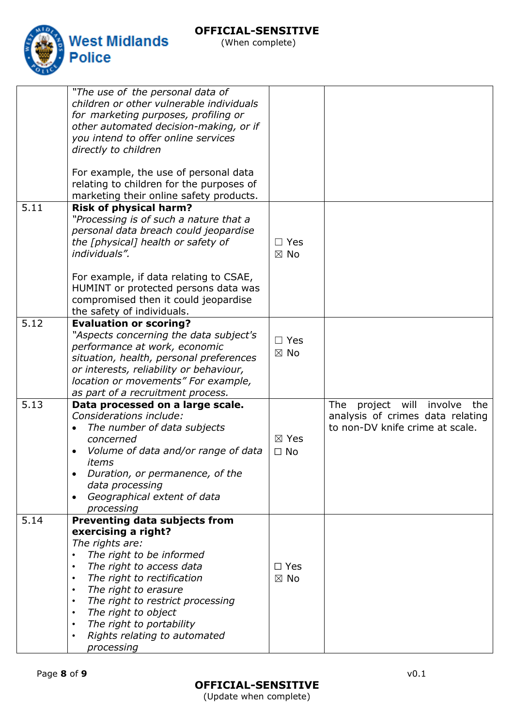

(When complete)

|      | "The use of the personal data of<br>children or other vulnerable individuals<br>for marketing purposes, profiling or<br>other automated decision-making, or if<br>you intend to offer online services<br>directly to children<br>For example, the use of personal data<br>relating to children for the purposes of                                                                                                                 |                              |                                                                                                        |
|------|------------------------------------------------------------------------------------------------------------------------------------------------------------------------------------------------------------------------------------------------------------------------------------------------------------------------------------------------------------------------------------------------------------------------------------|------------------------------|--------------------------------------------------------------------------------------------------------|
| 5.11 | marketing their online safety products.<br><b>Risk of physical harm?</b><br>"Processing is of such a nature that a<br>personal data breach could jeopardise<br>the [physical] health or safety of<br>individuals".<br>For example, if data relating to CSAE,<br>HUMINT or protected persons data was<br>compromised then it could jeopardise<br>the safety of individuals.                                                         | $\Box$ Yes<br>$\boxtimes$ No |                                                                                                        |
| 5.12 | <b>Evaluation or scoring?</b><br>"Aspects concerning the data subject's<br>performance at work, economic<br>situation, health, personal preferences<br>or interests, reliability or behaviour,<br>location or movements" For example,<br>as part of a recruitment process.                                                                                                                                                         | $\Box$ Yes<br>$\boxtimes$ No |                                                                                                        |
| 5.13 | Data processed on a large scale.<br>Considerations include:<br>The number of data subjects<br>$\bullet$<br>concerned<br>Volume of data and/or range of data<br>items<br>Duration, or permanence, of the<br>data processing<br>Geographical extent of data<br>$\bullet$<br>processing                                                                                                                                               | ⊠ Yes<br>$\Box$ No           | project will involve the<br>The<br>analysis of crimes data relating<br>to non-DV knife crime at scale. |
| 5.14 | Preventing data subjects from<br>exercising a right?<br>The rights are:<br>The right to be informed<br>$\bullet$<br>The right to access data<br>$\bullet$<br>The right to rectification<br>$\bullet$<br>The right to erasure<br>$\bullet$<br>The right to restrict processing<br>$\bullet$<br>The right to object<br>$\bullet$<br>The right to portability<br>$\bullet$<br>Rights relating to automated<br>$\bullet$<br>processing | $\Box$ Yes<br>$\boxtimes$ No |                                                                                                        |